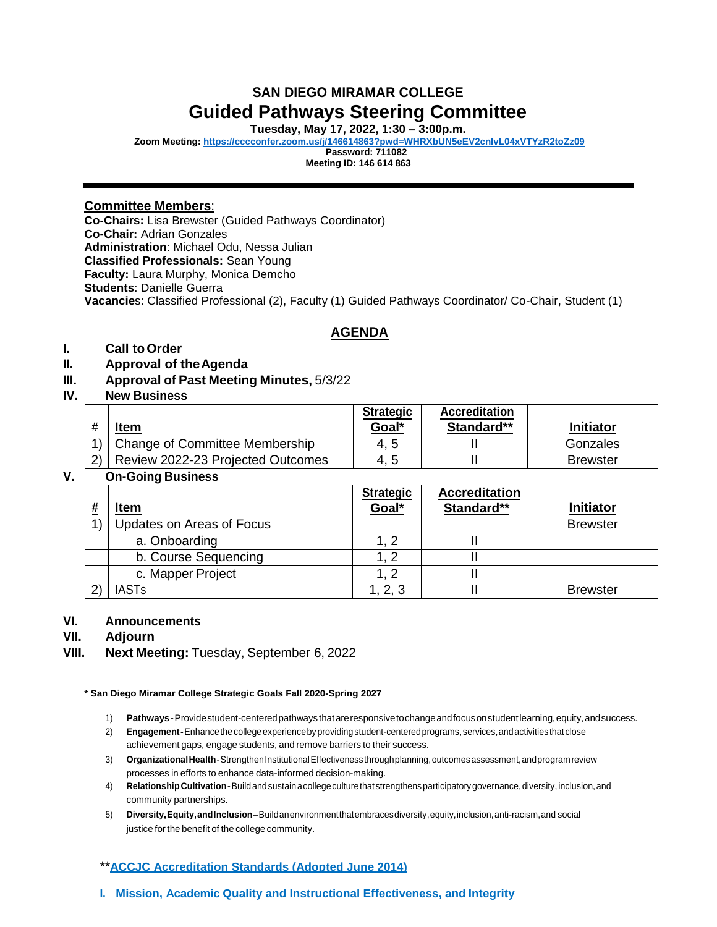# **SAN DIEGO MIRAMAR COLLEGE Guided Pathways Steering Committee**

**Tuesday, May 17, 2022, 1:30 – 3:00p.m.**

**Zoom Meeting:<https://cccconfer.zoom.us/j/146614863?pwd=WHRXbUN5eEV2cnIvL04xVTYzR2toZz09>**

**Password: 711082**

**Meeting ID: 146 614 863**

## **Committee Members**:

**Co-Chairs:** Lisa Brewster (Guided Pathways Coordinator) **Co-Chair:** Adrian Gonzales **Administration**: Michael Odu, Nessa Julian **Classified Professionals:** Sean Young **Faculty:** Laura Murphy, Monica Demcho **Students**: Danielle Guerra **Vacancie**s: Classified Professional (2), Faculty (1) Guided Pathways Coordinator/ Co-Chair, Student (1)

# **AGENDA**

# **I. Call toOrder**

- **II. Approval of theAgenda**
- **III. Approval of Past Meeting Minutes,** 5/3/22

## **IV. New Business**

|               | <b>Item</b>                       | <b>Strategic</b><br>Goal* | <b>Accreditation</b><br>Standard** | <b>Initiator</b> |
|---------------|-----------------------------------|---------------------------|------------------------------------|------------------|
| $4$ $\lambda$ | Change of Committee Membership    | 4.5                       |                                    | Gonzales         |
| (2)           | Review 2022-23 Projected Outcomes | 4.5                       |                                    | <b>Brewster</b>  |

## **V. On-Going Business**

|               | <u>Item</u>               | <b>Strategic</b><br>Goal* | <b>Accreditation</b><br>Standard** | <b>Initiator</b> |
|---------------|---------------------------|---------------------------|------------------------------------|------------------|
|               |                           |                           |                                    |                  |
|               | Updates on Areas of Focus |                           |                                    | <b>Brewster</b>  |
|               | a. Onboarding             | . 2                       |                                    |                  |
|               | b. Course Sequencing      | - 2                       |                                    |                  |
|               | c. Mapper Project         | . 2                       |                                    |                  |
| $\mathcal{L}$ | <b>IASTs</b>              | 1, 2, 3                   |                                    | <b>Brewster</b>  |

## **VI. Announcements**

**VII. Adjourn**

**VIII. Next Meeting:** Tuesday, September 6, 2022

**\* San Diego Miramar College Strategic Goals Fall 2020-Spring 2027**

1) **Pathways-**Providestudent-centeredpathwaysthatareresponsivetochangeandfocusonstudentlearning,equity,andsuccess.

- 2) **Engagement-**Enhancethecollegeexperiencebyprovidingstudent-centeredprograms, services,andactivitiesthatclose achievement gaps, engage students, and remove barriers to their success.
- 3) **OrganizationalHealth**-StrengthenInstitutionalEffectivenessthroughplanning,outcomesassessment,andprogramreview processes in efforts to enhance data-informed decision-making.
- 4) **RelationshipCultivation-**Buildandsustainacollegeculturethatstrengthensparticipatorygovernance,diversity,inclusion,and community partnerships.
- 5) **Diversity,Equity,andInclusion–**Buildanenvironmentthatembracesdiversity,equity,inclusion,anti-racism,and social justice for the benefit of the college community.

## \*\***[ACCJC Accreditation Standards \(Adopted June 2014\)](http://www.sdmiramar.edu/evidence/San%2520Diego%2520Miramar%2520College%2520SER%2520Online.pdf)**

**I. Mission, Academic Quality and Instructional Effectiveness, and Integrity**